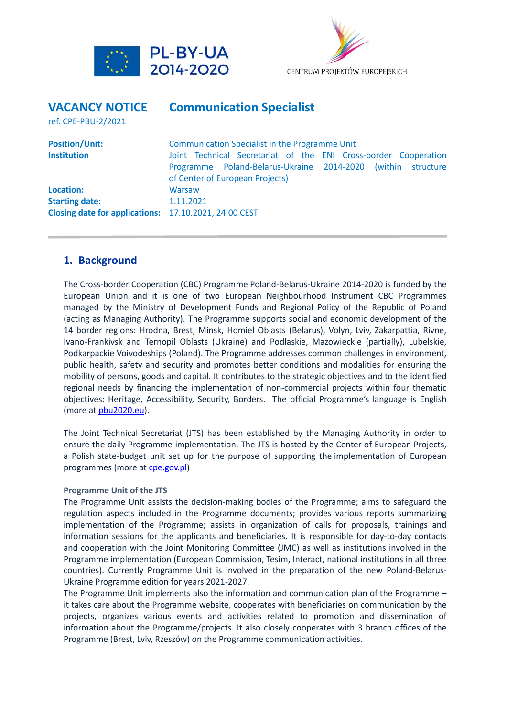



## **VACANCY NOTICE Communication Specialist** ref. CPE-PBU-2/2021 **Position/Unit: Communication Specialist in the Programme Unit Institution Institution I** Joint Technical Secretariat of the ENI Cross-border Cooperation Programme Poland-Belarus-Ukraine 2014-2020 (within structure of Center of European Projects) **Location:** Warsaw **Starting date:** 1.11.2021 **Closing date for applications:** 17.10.2021, 24:00 CEST

### **1. Background**

The Cross-border Cooperation (CBC) Programme Poland-Belarus-Ukraine 2014-2020 is funded by the European Union and it is one of two European Neighbourhood Instrument CBC Programmes managed by the Ministry of Development Funds and Regional Policy of the Republic of Poland (acting as Managing Authority). The Programme supports social and economic development of the 14 border regions: Hrodna, Brest, Minsk, Homiel Oblasts (Belarus), Volyn, Lviv, Zakarpattia, Rivne, Ivano-Frankivsk and Ternopil Oblasts (Ukraine) and Podlaskie, Mazowieckie (partially), Lubelskie, Podkarpackie Voivodeships (Poland). The Programme addresses common challenges in environment, public health, safety and security and promotes better conditions and modalities for ensuring the mobility of persons, goods and capital. It contributes to the strategic objectives and to the identified regional needs by financing the implementation of non-commercial projects within four thematic objectives: Heritage, Accessibility, Security, Borders. The official Programme's language is English (more a[t pbu2020.eu\)](http://www.pbu2020.eu/).

The Joint Technical Secretariat (JTS) has been established by the Managing Authority in order to ensure the daily Programme implementation. The JTS is hosted by the Center of European Projects, a Polish state-budget unit set up for the purpose of supporting the implementation of European programmes (more a[t cpe.gov.pl\)](http://www.cpe.gov.pl/)

#### **Programme Unit of the JTS**

The Programme Unit assists the decision-making bodies of the Programme; aims to safeguard the regulation aspects included in the Programme documents; provides various reports summarizing implementation of the Programme; assists in organization of calls for proposals, trainings and information sessions for the applicants and beneficiaries. It is responsible for day-to-day contacts and cooperation with the Joint Monitoring Committee (JMC) as well as institutions involved in the Programme implementation (European Commission, Tesim, Interact, national institutions in all three countries). Currently Programme Unit is involved in the preparation of the new Poland-Belarus-Ukraine Programme edition for years 2021-2027.

The Programme Unit implements also the information and communication plan of the Programme – it takes care about the Programme website, cooperates with beneficiaries on communication by the projects, organizes various events and activities related to promotion and dissemination of information about the Programme/projects. It also closely cooperates with 3 branch offices of the Programme (Brest, Lviv, Rzeszów) on the Programme communication activities.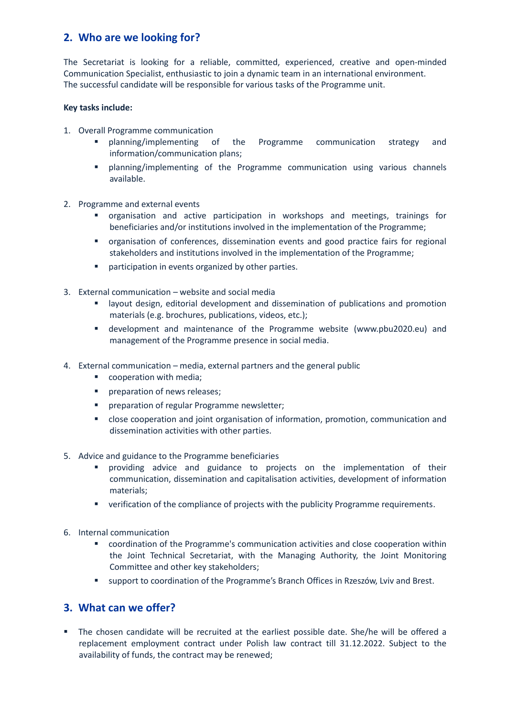# **2. Who are we looking for?**

The Secretariat is looking for a reliable, committed, experienced, creative and open-minded Communication Specialist, enthusiastic to join a dynamic team in an international environment. The successful candidate will be responsible for various tasks of the Programme unit.

#### **Key tasks include:**

- 1. Overall Programme communication
	- planning/implementing of the Programme communication strategy and information/communication plans;
	- planning/implementing of the Programme communication using various channels available.
- 2. Programme and external events
	- organisation and active participation in workshops and meetings, trainings for beneficiaries and/or institutions involved in the implementation of the Programme;
	- organisation of conferences, dissemination events and good practice fairs for regional stakeholders and institutions involved in the implementation of the Programme;
	- participation in events organized by other parties.
- 3. External communication website and social media
	- **■** layout design, editorial development and dissemination of publications and promotion materials (e.g. brochures, publications, videos, etc.);
	- development and maintenance of the Programme website (www.pbu2020.eu) and management of the Programme presence in social media.
- 4. External communication media, external partners and the general public
	- cooperation with media;
	- preparation of news releases;
	- preparation of regular Programme newsletter;
	- close cooperation and joint organisation of information, promotion, communication and dissemination activities with other parties.
- 5. Advice and guidance to the Programme beneficiaries
	- providing advice and guidance to projects on the implementation of their communication, dissemination and capitalisation activities, development of information materials;
	- **•** verification of the compliance of projects with the publicity Programme requirements.
- 6. Internal communication
	- coordination of the Programme's communication activities and close cooperation within the Joint Technical Secretariat, with the Managing Authority, the Joint Monitoring Committee and other key stakeholders;
	- support to coordination of the Programme's Branch Offices in Rzeszów, Lviv and Brest.

#### **3. What can we offer?**

▪ The chosen candidate will be recruited at the earliest possible date. She/he will be offered a replacement employment contract under Polish law contract till 31.12.2022. Subject to the availability of funds, the contract may be renewed;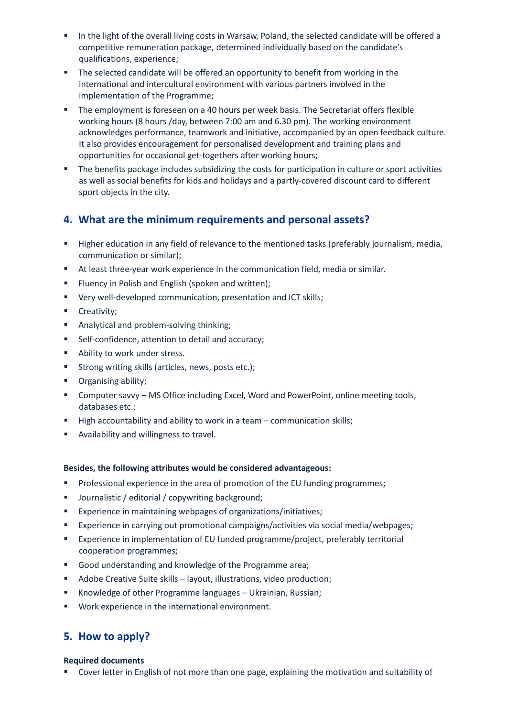- In the light of the overall living costs in Warsaw, Poland, the selected candidate will be offered a competitive remuneration package, determined individually based on the candidate's qualifications, experience;
- The selected candidate will be offered an opportunity to benefit from working in the international and intercultural environment with various partners involved in the implementation of the Programme;
- **•** The employment is foreseen on a 40 hours per week basis. The Secretariat offers flexible working hours (8 hours /day, between 7:00 am and 6.30 pm). The working environment acknowledges performance, teamwork and initiative, accompanied by an open feedback culture. It also provides encouragement for personalised development and training plans and opportunities for occasional get-togethers after working hours;
- The benefits package includes subsidizing the costs for participation in culture or sport activities as well as social benefits for kids and holidays and a partly-covered discount card to different sport objects in the city.

### **4. What are the minimum requirements and personal assets?**

- **■** Higher education in any field of relevance to the mentioned tasks (preferably journalism, media, communication or similar);
- At least three-year work experience in the communication field, media or similar.
- Fluency in Polish and English (spoken and written);
- Very well-developed communication, presentation and ICT skills;
- **■** Creativity;
- Analytical and problem-solving thinking;
- Self-confidence, attention to detail and accuracy;
- Ability to work under stress.
- Strong writing skills (articles, news, posts etc.);
- Organising ability;
- Computer savvy MS Office including Excel, Word and PowerPoint, online meeting tools, databases etc.;
- High accountability and ability to work in a team communication skills;
- Availability and willingness to travel.

#### **Besides, the following attributes would be considered advantageous:**

- **•** Professional experience in the area of promotion of the EU funding programmes;
- Journalistic / editorial / copywriting background;
- Experience in maintaining webpages of organizations/initiatives;
- Experience in carrying out promotional campaigns/activities via social media/webpages;
- Experience in implementation of EU funded programme/project, preferably territorial cooperation programmes;
- Good understanding and knowledge of the Programme area;
- Adobe Creative Suite skills layout, illustrations, video production;
- Knowledge of other Programme languages Ukrainian, Russian;
- Work experience in the international environment.

### **5. How to apply?**

#### **Required documents**

■ Cover letter in English of not more than one page, explaining the motivation and suitability of